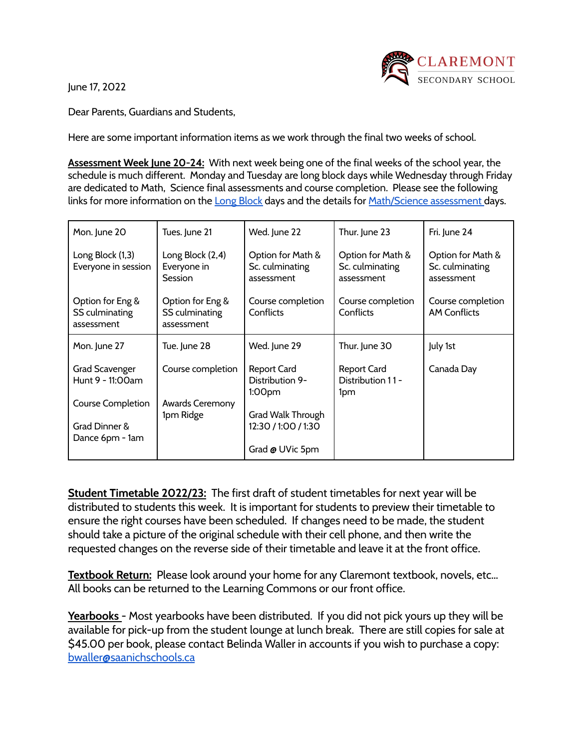June 17, 2022



Dear Parents, Guardians and Students,

Here are some important information items as we work through the final two weeks of school.

**Assessment Week June 20-24:** With next week being one of the final weeks of the school year, the schedule is much different. Monday and Tuesday are long block days while Wednesday through Friday are dedicated to Math, Science final assessments and course completion. Please see the following links for more information on the Long [Block](https://claremont.sd63.bc.ca/mod/forum/discuss.php?d=17134) days and the details for [Math/Science](https://claremont.sd63.bc.ca/pluginfile.php/57633/mod_resource/content/19/June%202022%20Updated%20Exam%20Schedule%20June%2015.pdf) assessment days.

| Mon. June 20                                     | Tues. June 21                                     | Wed. June 22                                       | Thur. June 23                                      | Fri. June 24                                       |
|--------------------------------------------------|---------------------------------------------------|----------------------------------------------------|----------------------------------------------------|----------------------------------------------------|
| Long Block (1,3)<br>Everyone in session          | Long Block (2,4)<br>Everyone in<br><b>Session</b> | Option for Math &<br>Sc. culminating<br>assessment | Option for Math &<br>Sc. culminating<br>assessment | Option for Math &<br>Sc. culminating<br>assessment |
| Option for Eng &<br>SS culminating<br>assessment | Option for Eng &<br>SS culminating<br>assessment  | Course completion<br>Conflicts                     | Course completion<br>Conflicts                     | Course completion<br><b>AM Conflicts</b>           |
| Mon. June 27                                     | Tue. June 28                                      | Wed. June 29                                       | Thur. June 30                                      | July 1st                                           |
| <b>Grad Scavenger</b><br>Hunt 9 - 11:00am        | Course completion                                 | <b>Report Card</b><br>Distribution 9-<br>1:00pm    | <b>Report Card</b><br>Distribution 11-<br>1pm      | Canada Day                                         |
| <b>Course Completion</b>                         | Awards Ceremony<br>1pm Ridge                      |                                                    |                                                    |                                                    |
| Grad Dinner &<br>Dance 6pm - 1am                 |                                                   | Grad Walk Through<br>12:30 / 1:00 / 1:30           |                                                    |                                                    |
|                                                  |                                                   | Grad @ UVic 5pm                                    |                                                    |                                                    |

**Student Timetable 2022/23:** The first draft of student timetables for next year will be distributed to students this week. It is important for students to preview their timetable to ensure the right courses have been scheduled. If changes need to be made, the student should take a picture of the original schedule with their cell phone, and then write the requested changes on the reverse side of their timetable and leave it at the front office.

**Textbook Return:** Please look around your home for any Claremont textbook, novels, etc… All books can be returned to the Learning Commons or our front office.

**Yearbooks** - Most yearbooks have been distributed. If you did not pick yours up they will be available for pick-up from the student lounge at lunch break. There are still copies for sale at \$45.00 per book, please contact Belinda Waller in accounts if you wish to purchase a copy: [bwaller@saanichschools.ca](mailto:bwaller@saanichschools.ca)